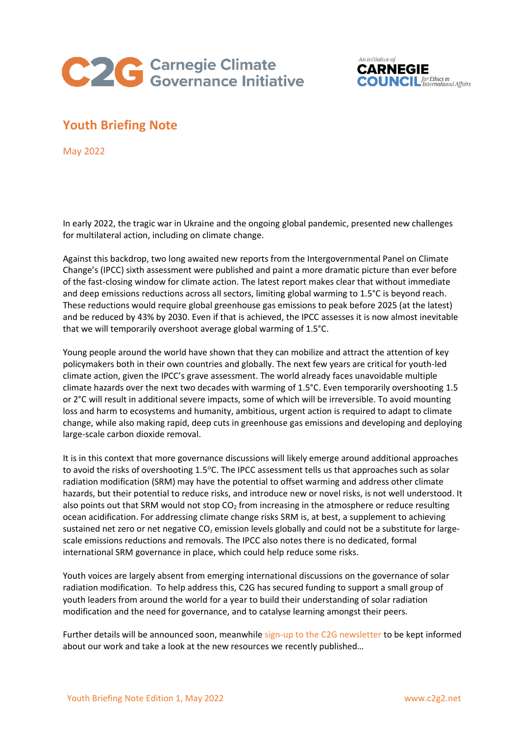



## **Youth Briefing Note**

May 2022

In early 2022, the tragic war in Ukraine and the ongoing global pandemic, presented new challenges for multilateral action, including on climate change.

Against this backdrop, two long awaited new reports from the Intergovernmental Panel on Climate Change's (IPCC) sixth assessment were published and paint a more dramatic picture than ever before of the fast-closing window for climate action. The latest report makes clear that without immediate and deep emissions reductions across all sectors, limiting global warming to 1.5°C is beyond reach. These reductions would require global greenhouse gas emissions to peak before 2025 (at the latest) and be reduced by 43% by 2030. Even if that is achieved, the IPCC assesses it is now almost inevitable that we will temporarily overshoot average global warming of 1.5°C.

Young people around the world have shown that they can mobilize and attract the attention of key policymakers both in their own countries and globally. The next few years are critical for youth-led climate action, given the IPCC's grave assessment. The world already faces unavoidable multiple climate hazards over the next two decades with warming of 1.5°C. Even temporarily overshooting 1.5 or 2°C will result in additional severe impacts, some of which will be irreversible. To avoid mounting loss and harm to ecosystems and humanity, ambitious, urgent action is required to adapt to climate change, while also making rapid, deep cuts in greenhouse gas emissions and developing and deploying large-scale carbon dioxide removal.

It is in this context that more governance discussions will likely emerge around additional approaches to avoid the risks of overshooting 1.5°C. The IPCC assessment tells us that approaches such as solar radiation modification (SRM) may have the potential to offset warming and address other climate hazards, but their potential to reduce risks, and introduce new or novel risks, is not well understood. It also points out that SRM would not stop  $CO<sub>2</sub>$  from increasing in the atmosphere or reduce resulting ocean acidification. For addressing climate change risks SRM is, at best, a supplement to achieving sustained net zero or net negative CO<sub>2</sub> emission levels globally and could not be a substitute for largescale emissions reductions and removals. The IPCC also notes there is no dedicated, formal international SRM governance in place, which could help reduce some risks.

Youth voices are largely absent from emerging international discussions on the governance of solar radiation modification. To help address this, C2G has secured funding to support a small group of youth leaders from around the world for a year to build their understanding of solar radiation modification and the need for governance, and to catalyse learning amongst their peers.

Further details will be announced soon, meanwhile [sign-up to the C2G newsletter](https://www.c2g2.net/contact/) to be kept informed about our work and take a look at the new resources we recently published…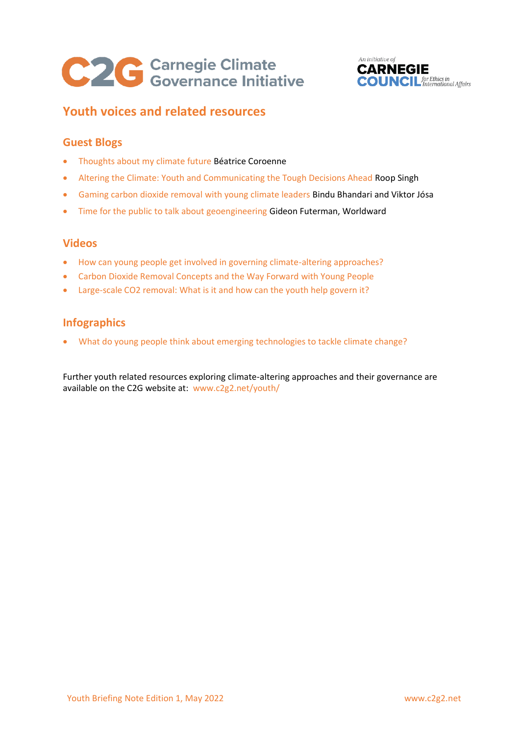# C2C Carnegie Climate



# **Youth voices and related resources**

## **Guest Blogs**

- [Thoughts about my climate future](https://www.c2g2.net/c2gblog-beatrice-coroenne/) Béatrice Coroenne
- [Altering the Climate: Youth and Communicating the Tough Decisions Ahead](https://www.c2g2.net/altering-the-climate-youth-and-communicating-the-tough-decisions-ahead/) Roop Singh
- [Gaming carbon dioxide removal with young climate leaders](https://www.c2g2.net/gaming-carbon-dioxide-removal-with-young-climate-leaders/) Bindu Bhandari and Viktor Jósa
- [Time for the public to talk about geoengineering](https://www.c2g2.net/time-for-the-public-to-talk-about-geoengineering/) Gideon Futerman, Worldward

## **Videos**

- [How can young people get involved in governing climate-altering approaches?](https://www.c2g2.net/c2gtalk-marie-claire-graf/)
- [Carbon Dioxide Removal Concepts and the Way Forward with Young People](https://www.c2g2.net/carbon-dioxide-removal-concepts-and-the-way-forward-with-young-people/)
- [Large-scale CO2 removal: What is it and how can the youth help govern it?](https://www.c2g2.net/large-scale-co2-removal-what-is-it-and-how-can-the-youth-help-govern-it/)

## **Infographics**

• [What do young people think about emerging technologies to tackle climate change?](https://www.c2g2.net/project/infographic-what-do-young-people-think-about-emerging-technologies-to-tackle-climate-change/)

Further youth related resources exploring climate-altering approaches and their governance are available on the C2G website at: [www.c2g2.net/youth/](http://www.c2g2.net/youth/)